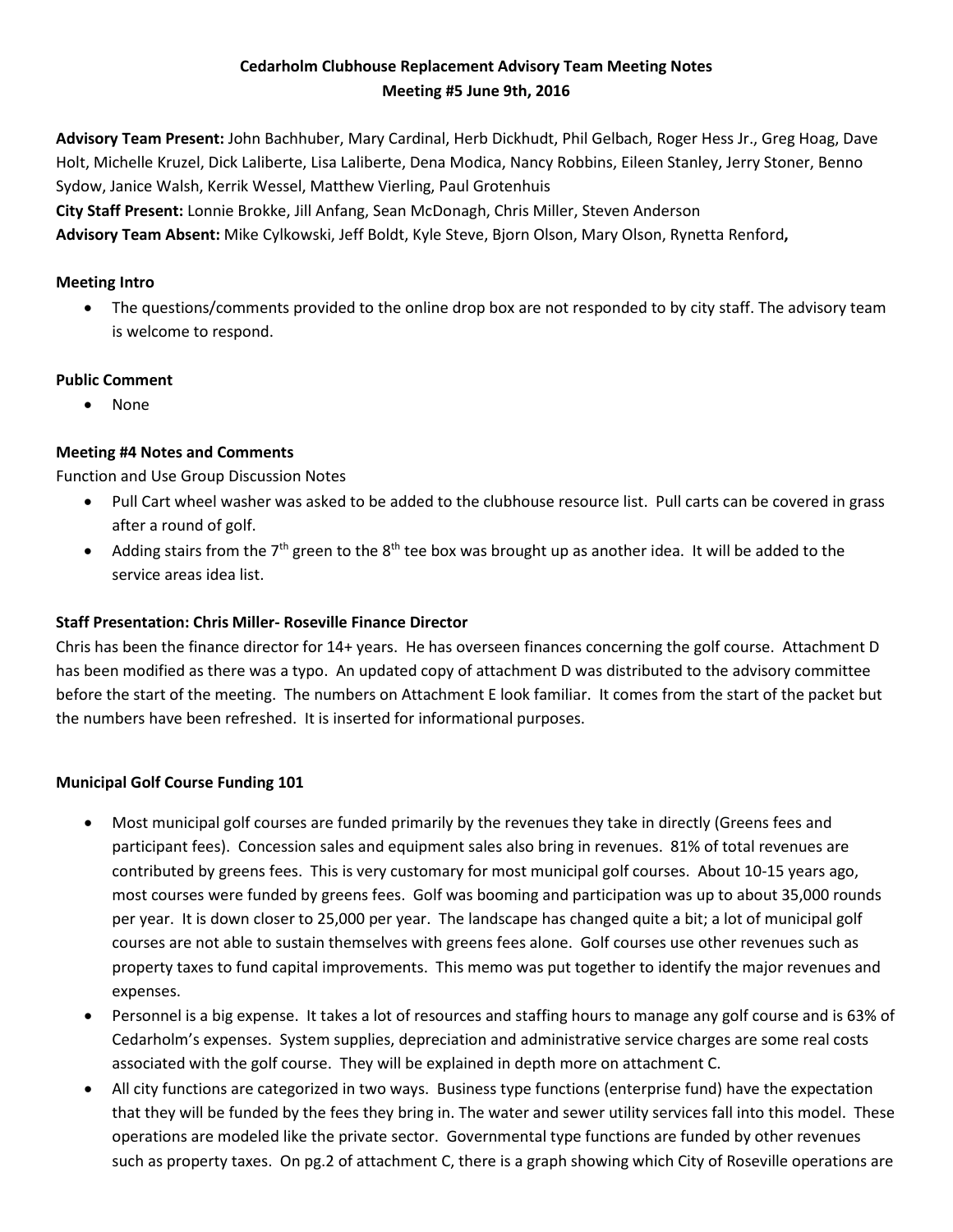## **Cedarholm Clubhouse Replacement Advisory Team Meeting Notes Meeting #5 June 9th, 2016**

**Advisory Team Present:** John Bachhuber, Mary Cardinal, Herb Dickhudt, Phil Gelbach, Roger Hess Jr., Greg Hoag, Dave Holt, Michelle Kruzel, Dick Laliberte, Lisa Laliberte, Dena Modica, Nancy Robbins, Eileen Stanley, Jerry Stoner, Benno Sydow, Janice Walsh, Kerrik Wessel, Matthew Vierling, Paul Grotenhuis **City Staff Present:** Lonnie Brokke, Jill Anfang, Sean McDonagh, Chris Miller, Steven Anderson **Advisory Team Absent:** Mike Cylkowski, Jeff Boldt, Kyle Steve, Bjorn Olson, Mary Olson, Rynetta Renford**,**

### **Meeting Intro**

• The questions/comments provided to the online drop box are not responded to by city staff. The advisory team is welcome to respond.

## **Public Comment**

• None

# **Meeting #4 Notes and Comments**

Function and Use Group Discussion Notes

- Pull Cart wheel washer was asked to be added to the clubhouse resource list. Pull carts can be covered in grass after a round of golf.
- Adding stairs from the 7<sup>th</sup> green to the 8<sup>th</sup> tee box was brought up as another idea. It will be added to the service areas idea list.

# **Staff Presentation: Chris Miller- Roseville Finance Director**

Chris has been the finance director for 14+ years. He has overseen finances concerning the golf course. Attachment D has been modified as there was a typo. An updated copy of attachment D was distributed to the advisory committee before the start of the meeting. The numbers on Attachment E look familiar. It comes from the start of the packet but the numbers have been refreshed. It is inserted for informational purposes.

# **Municipal Golf Course Funding 101**

- Most municipal golf courses are funded primarily by the revenues they take in directly (Greens fees and participant fees). Concession sales and equipment sales also bring in revenues. 81% of total revenues are contributed by greens fees. This is very customary for most municipal golf courses. About 10-15 years ago, most courses were funded by greens fees. Golf was booming and participation was up to about 35,000 rounds per year. It is down closer to 25,000 per year. The landscape has changed quite a bit; a lot of municipal golf courses are not able to sustain themselves with greens fees alone. Golf courses use other revenues such as property taxes to fund capital improvements. This memo was put together to identify the major revenues and expenses.
- Personnel is a big expense. It takes a lot of resources and staffing hours to manage any golf course and is 63% of Cedarholm's expenses. System supplies, depreciation and administrative service charges are some real costs associated with the golf course. They will be explained in depth more on attachment C.
- All city functions are categorized in two ways. Business type functions (enterprise fund) have the expectation that they will be funded by the fees they bring in. The water and sewer utility services fall into this model. These operations are modeled like the private sector. Governmental type functions are funded by other revenues such as property taxes. On pg.2 of attachment C, there is a graph showing which City of Roseville operations are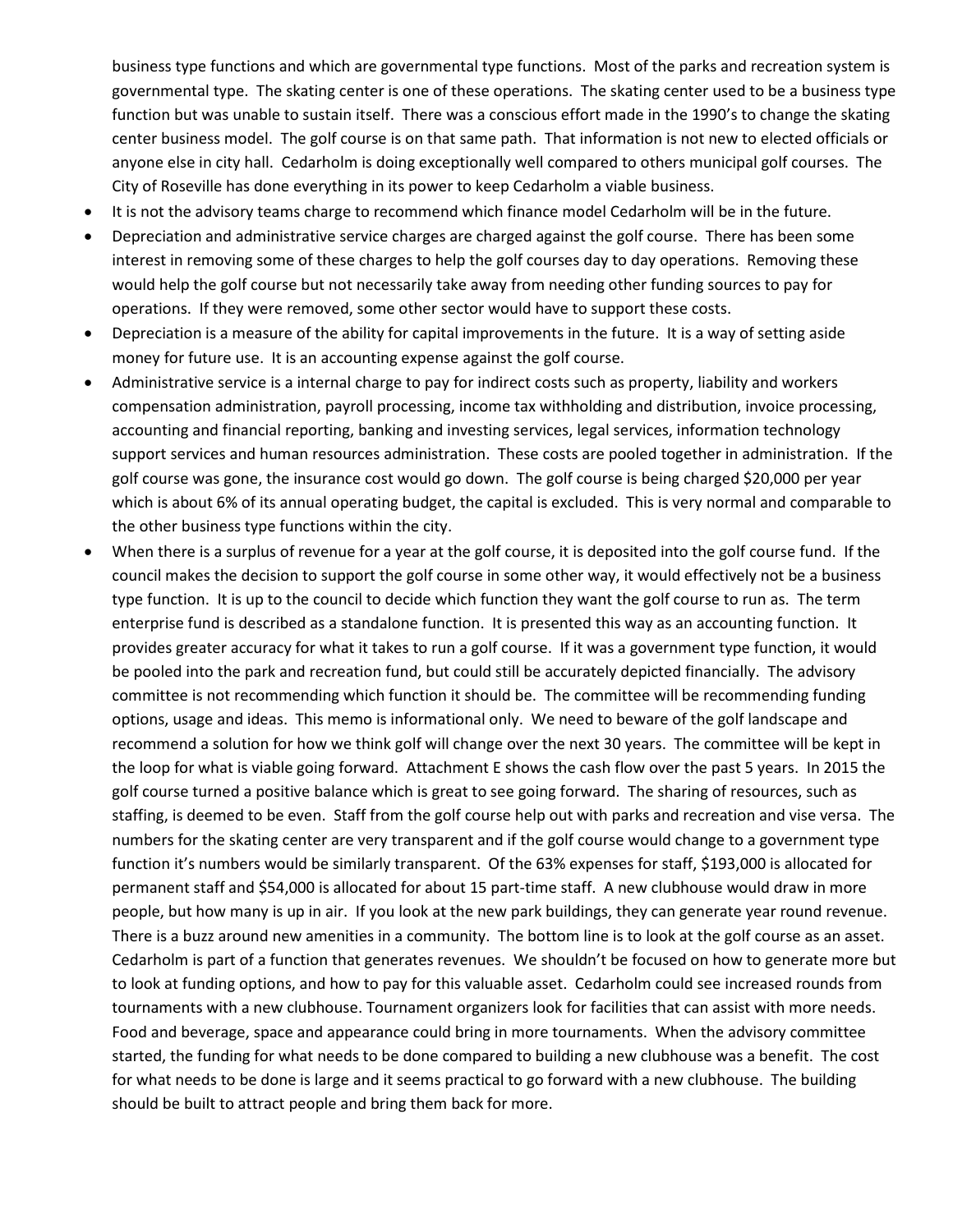business type functions and which are governmental type functions. Most of the parks and recreation system is governmental type. The skating center is one of these operations. The skating center used to be a business type function but was unable to sustain itself. There was a conscious effort made in the 1990's to change the skating center business model. The golf course is on that same path. That information is not new to elected officials or anyone else in city hall. Cedarholm is doing exceptionally well compared to others municipal golf courses. The City of Roseville has done everything in its power to keep Cedarholm a viable business.

- It is not the advisory teams charge to recommend which finance model Cedarholm will be in the future.
- Depreciation and administrative service charges are charged against the golf course. There has been some interest in removing some of these charges to help the golf courses day to day operations. Removing these would help the golf course but not necessarily take away from needing other funding sources to pay for operations. If they were removed, some other sector would have to support these costs.
- Depreciation is a measure of the ability for capital improvements in the future. It is a way of setting aside money for future use. It is an accounting expense against the golf course.
- Administrative service is a internal charge to pay for indirect costs such as property, liability and workers compensation administration, payroll processing, income tax withholding and distribution, invoice processing, accounting and financial reporting, banking and investing services, legal services, information technology support services and human resources administration. These costs are pooled together in administration. If the golf course was gone, the insurance cost would go down. The golf course is being charged \$20,000 per year which is about 6% of its annual operating budget, the capital is excluded. This is very normal and comparable to the other business type functions within the city.
- When there is a surplus of revenue for a year at the golf course, it is deposited into the golf course fund. If the council makes the decision to support the golf course in some other way, it would effectively not be a business type function. It is up to the council to decide which function they want the golf course to run as. The term enterprise fund is described as a standalone function. It is presented this way as an accounting function. It provides greater accuracy for what it takes to run a golf course. If it was a government type function, it would be pooled into the park and recreation fund, but could still be accurately depicted financially. The advisory committee is not recommending which function it should be. The committee will be recommending funding options, usage and ideas. This memo is informational only. We need to beware of the golf landscape and recommend a solution for how we think golf will change over the next 30 years. The committee will be kept in the loop for what is viable going forward. Attachment E shows the cash flow over the past 5 years. In 2015 the golf course turned a positive balance which is great to see going forward. The sharing of resources, such as staffing, is deemed to be even. Staff from the golf course help out with parks and recreation and vise versa. The numbers for the skating center are very transparent and if the golf course would change to a government type function it's numbers would be similarly transparent. Of the 63% expenses for staff, \$193,000 is allocated for permanent staff and \$54,000 is allocated for about 15 part-time staff. A new clubhouse would draw in more people, but how many is up in air. If you look at the new park buildings, they can generate year round revenue. There is a buzz around new amenities in a community. The bottom line is to look at the golf course as an asset. Cedarholm is part of a function that generates revenues. We shouldn't be focused on how to generate more but to look at funding options, and how to pay for this valuable asset. Cedarholm could see increased rounds from tournaments with a new clubhouse. Tournament organizers look for facilities that can assist with more needs. Food and beverage, space and appearance could bring in more tournaments. When the advisory committee started, the funding for what needs to be done compared to building a new clubhouse was a benefit. The cost for what needs to be done is large and it seems practical to go forward with a new clubhouse. The building should be built to attract people and bring them back for more.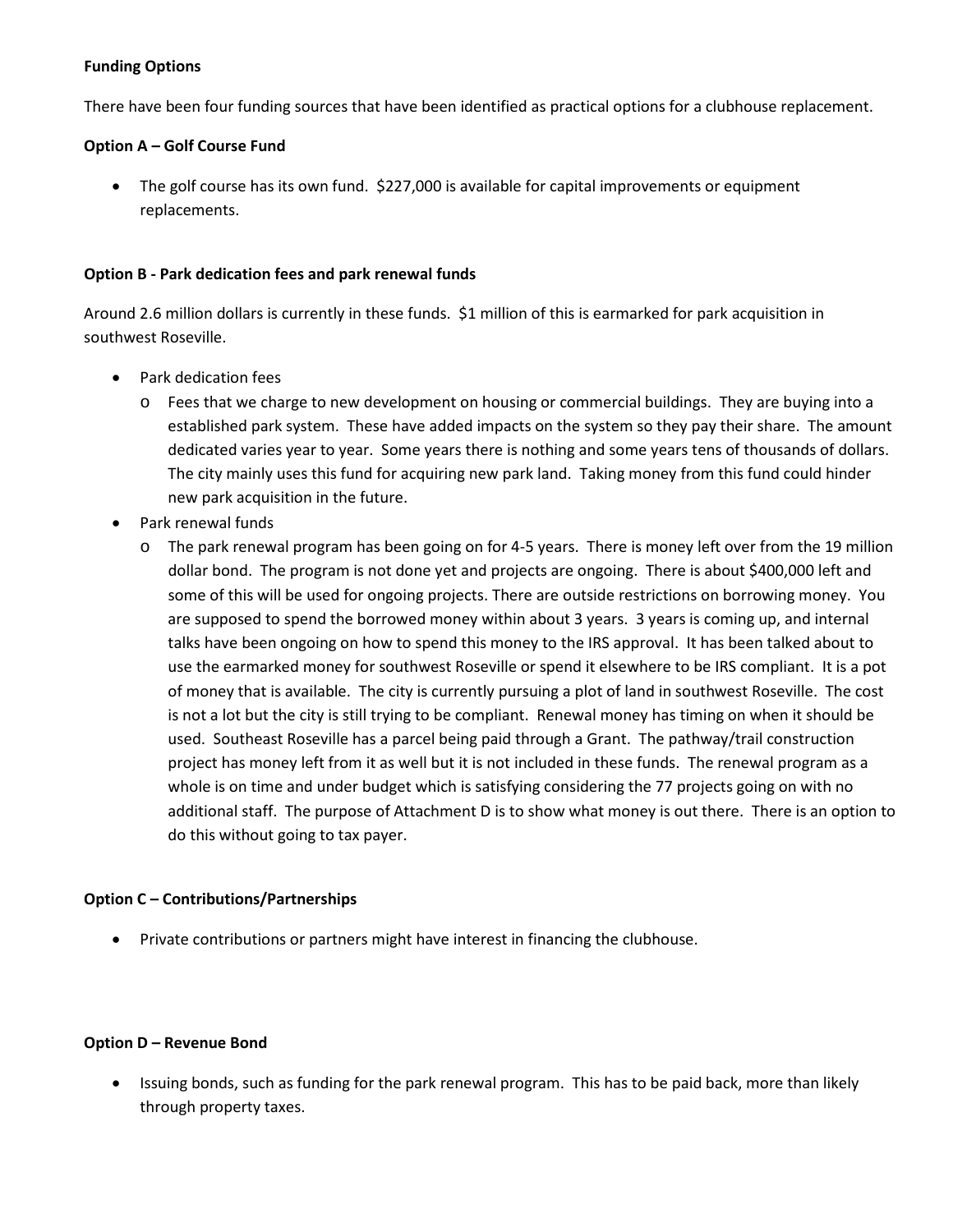### **Funding Options**

There have been four funding sources that have been identified as practical options for a clubhouse replacement.

### **Option A – Golf Course Fund**

• The golf course has its own fund. \$227,000 is available for capital improvements or equipment replacements.

#### **Option B - Park dedication fees and park renewal funds**

Around 2.6 million dollars is currently in these funds. \$1 million of this is earmarked for park acquisition in southwest Roseville.

- Park dedication fees
	- o Fees that we charge to new development on housing or commercial buildings. They are buying into a established park system. These have added impacts on the system so they pay their share. The amount dedicated varies year to year. Some years there is nothing and some years tens of thousands of dollars. The city mainly uses this fund for acquiring new park land. Taking money from this fund could hinder new park acquisition in the future.
- Park renewal funds
	- o The park renewal program has been going on for 4-5 years. There is money left over from the 19 million dollar bond. The program is not done yet and projects are ongoing. There is about \$400,000 left and some of this will be used for ongoing projects. There are outside restrictions on borrowing money. You are supposed to spend the borrowed money within about 3 years. 3 years is coming up, and internal talks have been ongoing on how to spend this money to the IRS approval. It has been talked about to use the earmarked money for southwest Roseville or spend it elsewhere to be IRS compliant. It is a pot of money that is available. The city is currently pursuing a plot of land in southwest Roseville. The cost is not a lot but the city is still trying to be compliant. Renewal money has timing on when it should be used. Southeast Roseville has a parcel being paid through a Grant. The pathway/trail construction project has money left from it as well but it is not included in these funds. The renewal program as a whole is on time and under budget which is satisfying considering the 77 projects going on with no additional staff. The purpose of Attachment D is to show what money is out there. There is an option to do this without going to tax payer.

### **Option C – Contributions/Partnerships**

• Private contributions or partners might have interest in financing the clubhouse.

#### **Option D – Revenue Bond**

• Issuing bonds, such as funding for the park renewal program. This has to be paid back, more than likely through property taxes.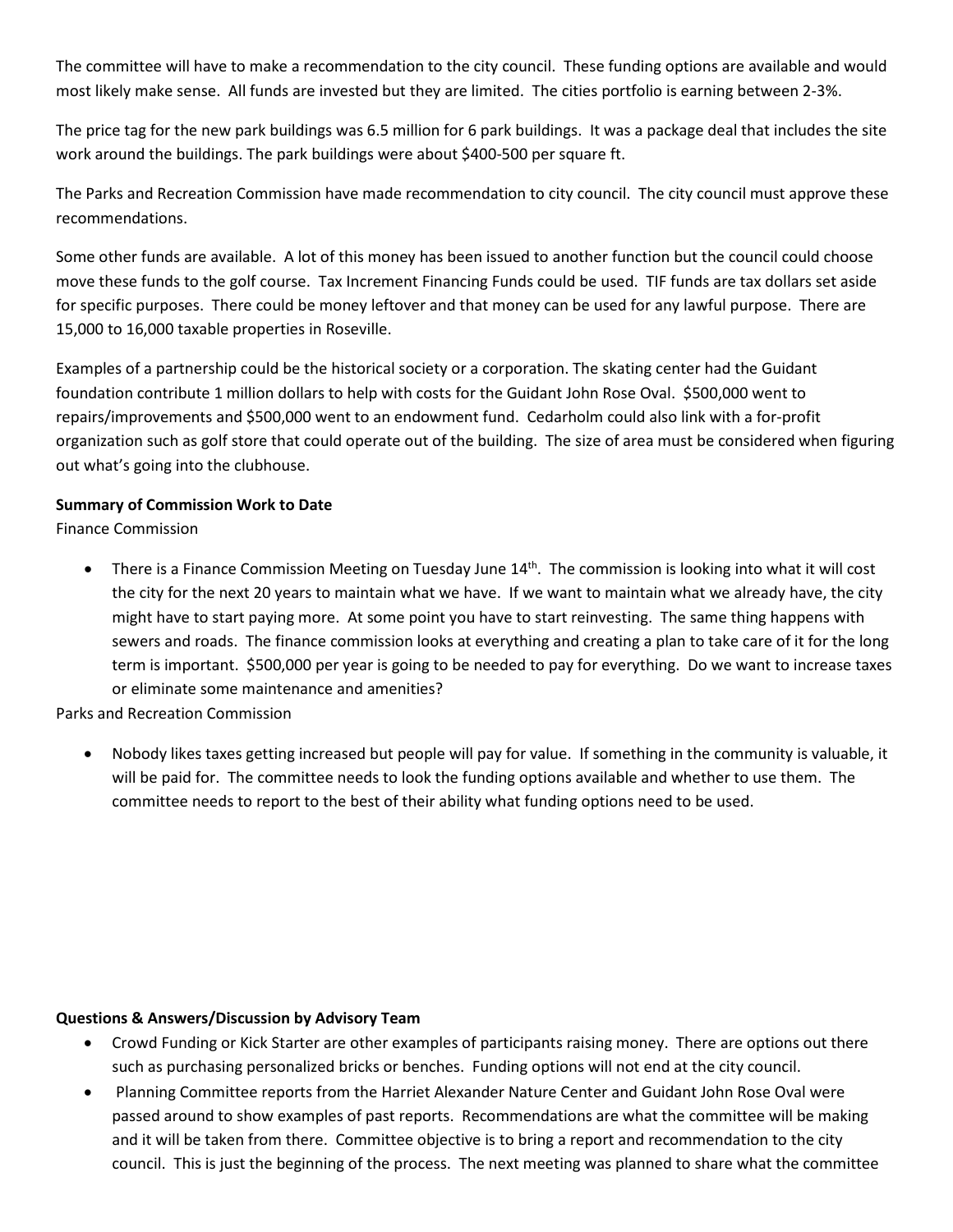The committee will have to make a recommendation to the city council. These funding options are available and would most likely make sense. All funds are invested but they are limited. The cities portfolio is earning between 2-3%.

The price tag for the new park buildings was 6.5 million for 6 park buildings. It was a package deal that includes the site work around the buildings. The park buildings were about \$400-500 per square ft.

The Parks and Recreation Commission have made recommendation to city council. The city council must approve these recommendations.

Some other funds are available. A lot of this money has been issued to another function but the council could choose move these funds to the golf course. Tax Increment Financing Funds could be used. TIF funds are tax dollars set aside for specific purposes. There could be money leftover and that money can be used for any lawful purpose. There are 15,000 to 16,000 taxable properties in Roseville.

Examples of a partnership could be the historical society or a corporation. The skating center had the Guidant foundation contribute 1 million dollars to help with costs for the Guidant John Rose Oval. \$500,000 went to repairs/improvements and \$500,000 went to an endowment fund. Cedarholm could also link with a for-profit organization such as golf store that could operate out of the building. The size of area must be considered when figuring out what's going into the clubhouse.

### **Summary of Commission Work to Date**

Finance Commission

• There is a Finance Commission Meeting on Tuesday June 14<sup>th</sup>. The commission is looking into what it will cost the city for the next 20 years to maintain what we have. If we want to maintain what we already have, the city might have to start paying more. At some point you have to start reinvesting. The same thing happens with sewers and roads. The finance commission looks at everything and creating a plan to take care of it for the long term is important. \$500,000 per year is going to be needed to pay for everything. Do we want to increase taxes or eliminate some maintenance and amenities?

Parks and Recreation Commission

• Nobody likes taxes getting increased but people will pay for value. If something in the community is valuable, it will be paid for. The committee needs to look the funding options available and whether to use them. The committee needs to report to the best of their ability what funding options need to be used.

#### **Questions & Answers/Discussion by Advisory Team**

- Crowd Funding or Kick Starter are other examples of participants raising money. There are options out there such as purchasing personalized bricks or benches. Funding options will not end at the city council.
- Planning Committee reports from the Harriet Alexander Nature Center and Guidant John Rose Oval were passed around to show examples of past reports. Recommendations are what the committee will be making and it will be taken from there. Committee objective is to bring a report and recommendation to the city council. This is just the beginning of the process. The next meeting was planned to share what the committee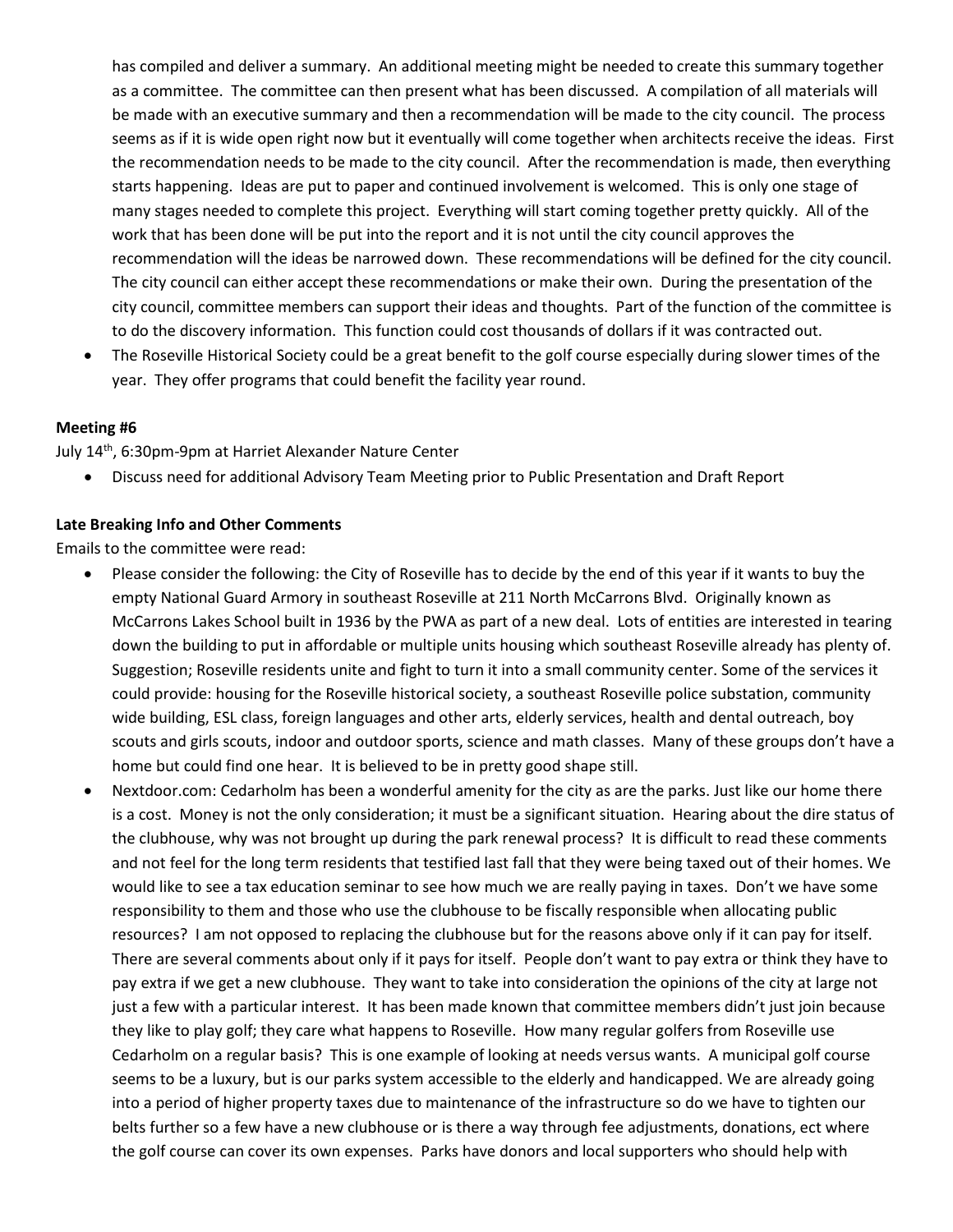has compiled and deliver a summary. An additional meeting might be needed to create this summary together as a committee. The committee can then present what has been discussed. A compilation of all materials will be made with an executive summary and then a recommendation will be made to the city council. The process seems as if it is wide open right now but it eventually will come together when architects receive the ideas. First the recommendation needs to be made to the city council. After the recommendation is made, then everything starts happening. Ideas are put to paper and continued involvement is welcomed. This is only one stage of many stages needed to complete this project. Everything will start coming together pretty quickly. All of the work that has been done will be put into the report and it is not until the city council approves the recommendation will the ideas be narrowed down. These recommendations will be defined for the city council. The city council can either accept these recommendations or make their own. During the presentation of the city council, committee members can support their ideas and thoughts. Part of the function of the committee is to do the discovery information. This function could cost thousands of dollars if it was contracted out.

• The Roseville Historical Society could be a great benefit to the golf course especially during slower times of the year. They offer programs that could benefit the facility year round.

#### **Meeting #6**

July 14th, 6:30pm-9pm at Harriet Alexander Nature Center

• Discuss need for additional Advisory Team Meeting prior to Public Presentation and Draft Report

#### **Late Breaking Info and Other Comments**

Emails to the committee were read:

- Please consider the following: the City of Roseville has to decide by the end of this year if it wants to buy the empty National Guard Armory in southeast Roseville at 211 North McCarrons Blvd. Originally known as McCarrons Lakes School built in 1936 by the PWA as part of a new deal. Lots of entities are interested in tearing down the building to put in affordable or multiple units housing which southeast Roseville already has plenty of. Suggestion; Roseville residents unite and fight to turn it into a small community center. Some of the services it could provide: housing for the Roseville historical society, a southeast Roseville police substation, community wide building, ESL class, foreign languages and other arts, elderly services, health and dental outreach, boy scouts and girls scouts, indoor and outdoor sports, science and math classes. Many of these groups don't have a home but could find one hear. It is believed to be in pretty good shape still.
- Nextdoor.com: Cedarholm has been a wonderful amenity for the city as are the parks. Just like our home there is a cost. Money is not the only consideration; it must be a significant situation. Hearing about the dire status of the clubhouse, why was not brought up during the park renewal process? It is difficult to read these comments and not feel for the long term residents that testified last fall that they were being taxed out of their homes. We would like to see a tax education seminar to see how much we are really paying in taxes. Don't we have some responsibility to them and those who use the clubhouse to be fiscally responsible when allocating public resources? I am not opposed to replacing the clubhouse but for the reasons above only if it can pay for itself. There are several comments about only if it pays for itself. People don't want to pay extra or think they have to pay extra if we get a new clubhouse. They want to take into consideration the opinions of the city at large not just a few with a particular interest. It has been made known that committee members didn't just join because they like to play golf; they care what happens to Roseville. How many regular golfers from Roseville use Cedarholm on a regular basis? This is one example of looking at needs versus wants. A municipal golf course seems to be a luxury, but is our parks system accessible to the elderly and handicapped. We are already going into a period of higher property taxes due to maintenance of the infrastructure so do we have to tighten our belts further so a few have a new clubhouse or is there a way through fee adjustments, donations, ect where the golf course can cover its own expenses. Parks have donors and local supporters who should help with